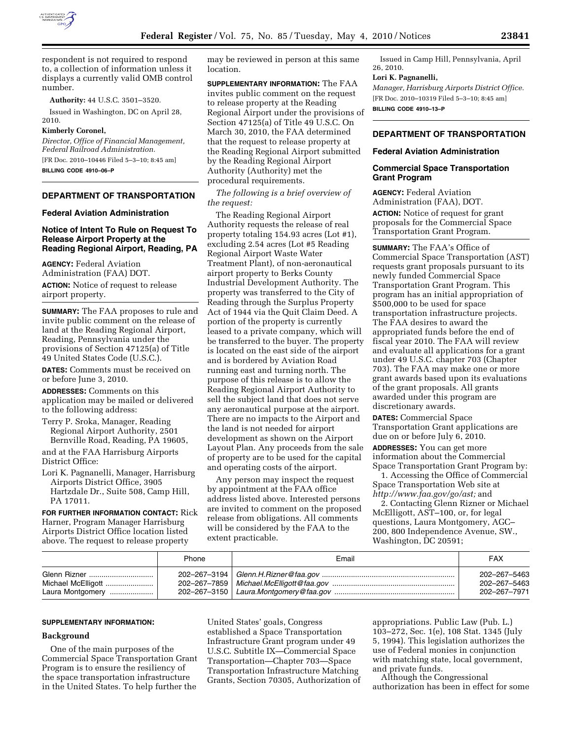

respondent is not required to respond to, a collection of information unless it displays a currently valid OMB control number.

#### **Authority:** 44 U.S.C. 3501–3520.

Issued in Washington, DC on April 28, 2010.

### **Kimberly Coronel,**

*Director, Office of Financial Management, Federal Railroad Administration.* 

[FR Doc. 2010–10446 Filed 5–3–10; 8:45 am] **BILLING CODE 4910–06–P** 

## **DEPARTMENT OF TRANSPORTATION**

### **Federal Aviation Administration**

# **Notice of Intent To Rule on Request To Release Airport Property at the Reading Regional Airport, Reading, PA**

**AGENCY:** Federal Aviation Administration (FAA) DOT.

**ACTION:** Notice of request to release airport property.

**SUMMARY:** The FAA proposes to rule and invite public comment on the release of land at the Reading Regional Airport, Reading, Pennsylvania under the provisions of Section 47125(a) of Title 49 United States Code (U.S.C.).

**DATES:** Comments must be received on or before June 3, 2010.

**ADDRESSES:** Comments on this application may be mailed or delivered to the following address:

Terry P. Sroka, Manager, Reading Regional Airport Authority, 2501 Bernville Road, Reading, PA 19605,

and at the FAA Harrisburg Airports District Office:

Lori K. Pagnanelli, Manager, Harrisburg Airports District Office, 3905 Hartzdale Dr., Suite 508, Camp Hill, PA 17011.

**FOR FURTHER INFORMATION CONTACT:** Rick Harner, Program Manager Harrisburg Airports District Office location listed above. The request to release property

may be reviewed in person at this same location.

**SUPPLEMENTARY INFORMATION:** The FAA invites public comment on the request to release property at the Reading Regional Airport under the provisions of Section 47125(a) of Title 49 U.S.C. On March 30, 2010, the FAA determined that the request to release property at the Reading Regional Airport submitted by the Reading Regional Airport Authority (Authority) met the procedural requirements.

*The following is a brief overview of the request:* 

The Reading Regional Airport Authority requests the release of real property totaling 154.93 acres (Lot #1), excluding 2.54 acres (Lot #5 Reading Regional Airport Waste Water Treatment Plant), of non-aeronautical airport property to Berks County Industrial Development Authority. The property was transferred to the City of Reading through the Surplus Property Act of 1944 via the Quit Claim Deed. A portion of the property is currently leased to a private company, which will be transferred to the buyer. The property is located on the east side of the airport and is bordered by Aviation Road running east and turning north. The purpose of this release is to allow the Reading Regional Airport Authority to sell the subject land that does not serve any aeronautical purpose at the airport. There are no impacts to the Airport and the land is not needed for airport development as shown on the Airport Layout Plan. Any proceeds from the sale of property are to be used for the capital and operating costs of the airport.

Any person may inspect the request by appointment at the FAA office address listed above. Interested persons are invited to comment on the proposed release from obligations. All comments will be considered by the FAA to the extent practicable.

Issued in Camp Hill, Pennsylvania, April 26, 2010.

### **Lori K. Pagnanelli,**

*Manager, Harrisburg Airports District Office.*  [FR Doc. 2010–10319 Filed 5–3–10; 8:45 am] **BILLING CODE 4910–13–P** 

# **DEPARTMENT OF TRANSPORTATION**

# **Federal Aviation Administration**

# **Commercial Space Transportation Grant Program**

**AGENCY:** Federal Aviation Administration (FAA), DOT. **ACTION:** Notice of request for grant proposals for the Commercial Space Transportation Grant Program.

**SUMMARY:** The FAA's Office of Commercial Space Transportation (AST) requests grant proposals pursuant to its newly funded Commercial Space Transportation Grant Program. This program has an initial appropriation of \$500,000 to be used for space transportation infrastructure projects. The FAA desires to award the appropriated funds before the end of fiscal year 2010. The FAA will review and evaluate all applications for a grant under 49 U.S.C. chapter 703 (Chapter 703). The FAA may make one or more grant awards based upon its evaluations of the grant proposals. All grants awarded under this program are discretionary awards.

**DATES:** Commercial Space Transportation Grant applications are due on or before July 6, 2010.

**ADDRESSES:** You can get more information about the Commercial Space Transportation Grant Program by:

1. Accessing the Office of Commercial Space Transportation Web site at *http://www.faa.gov/go/ast;* and

2. Contacting Glenn Rizner or Michael McElligott, AST–100, or, for legal questions, Laura Montgomery, AGC– 200, 800 Independence Avenue, SW., Washington, DC 20591;

| Phone | Email | FAX          |
|-------|-------|--------------|
|       |       | 202-267-5463 |
|       |       | 202-267-5463 |
|       |       | 202-267-7971 |

#### **SUPPLEMENTARY INFORMATION:**

## **Background**

One of the main purposes of the Commercial Space Transportation Grant Program is to ensure the resiliency of the space transportation infrastructure in the United States. To help further the

United States' goals, Congress established a Space Transportation Infrastructure Grant program under 49 U.S.C. Subtitle IX—Commercial Space Transportation—Chapter 703—Space Transportation Infrastructure Matching Grants, Section 70305, Authorization of

appropriations. Public Law (Pub. L.) 103–272, Sec. 1(e), 108 Stat. 1345 (July 5, 1994). This legislation authorizes the use of Federal monies in conjunction with matching state, local government, and private funds.

Although the Congressional

authorization has been in effect for some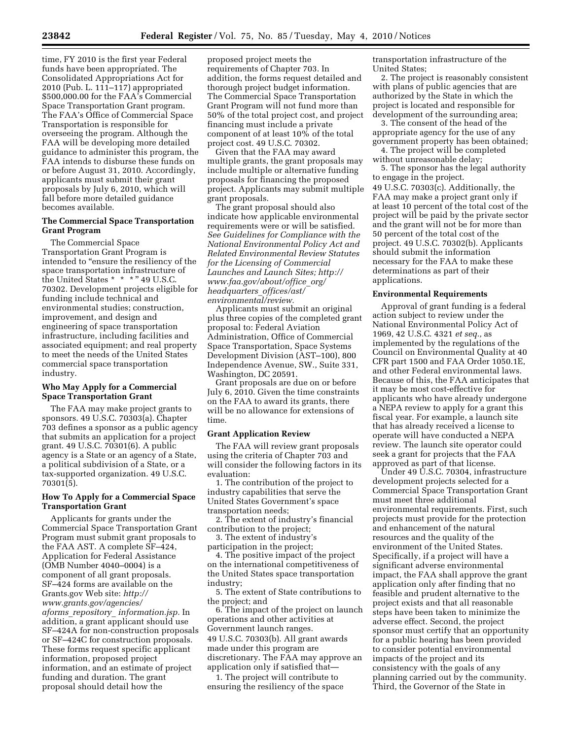time, FY 2010 is the first year Federal funds have been appropriated. The Consolidated Appropriations Act for 2010 (Pub. L. 111–117) appropriated \$500,000.00 for the FAA's Commercial Space Transportation Grant program. The FAA's Office of Commercial Space Transportation is responsible for overseeing the program. Although the FAA will be developing more detailed guidance to administer this program, the FAA intends to disburse these funds on or before August 31, 2010. Accordingly, applicants must submit their grant proposals by July 6, 2010, which will fall before more detailed guidance becomes available.

# **The Commercial Space Transportation Grant Program**

The Commercial Space Transportation Grant Program is intended to "ensure the resiliency of the space transportation infrastructure of the United States  $* * * " 49 U.S.C.$ 70302. Development projects eligible for funding include technical and environmental studies; construction, improvement, and design and engineering of space transportation infrastructure, including facilities and associated equipment; and real property to meet the needs of the United States commercial space transportation industry.

## **Who May Apply for a Commercial Space Transportation Grant**

The FAA may make project grants to sponsors. 49 U.S.C. 70303(a). Chapter 703 defines a sponsor as a public agency that submits an application for a project grant. 49 U.S.C. 70301(6). A public agency is a State or an agency of a State, a political subdivision of a State, or a tax-supported organization. 49 U.S.C. 70301(5).

# **How To Apply for a Commercial Space Transportation Grant**

Applicants for grants under the Commercial Space Transportation Grant Program must submit grant proposals to the FAA AST. A complete SF–424, Application for Federal Assistance (OMB Number 4040–0004) is a component of all grant proposals. SF–424 forms are available on the Grants.gov Web site: *http:// www.grants.gov/agencies/ aforms*\_*repository*\_ *information.jsp.* In addition, a grant applicant should use SF–424A for non-construction proposals or SF–424C for construction proposals. These forms request specific applicant information, proposed project information, and an estimate of project funding and duration. The grant proposal should detail how the

proposed project meets the requirements of Chapter 703. In addition, the forms request detailed and thorough project budget information. The Commercial Space Transportation Grant Program will not fund more than 50% of the total project cost, and project financing must include a private component of at least 10% of the total project cost. 49 U.S.C. 70302.

Given that the FAA may award multiple grants, the grant proposals may include multiple or alternative funding proposals for financing the proposed project. Applicants may submit multiple grant proposals.

The grant proposal should also indicate how applicable environmental requirements were or will be satisfied. *See Guidelines for Compliance with the National Environmental Policy Act and Related Environmental Review Statutes for the Licensing of Commercial Launches and Launch Sites; http:// www.faa.gov/about/office*\_*org/ headquarters*\_*offices/ast/ environmental/review.* 

Applicants must submit an original plus three copies of the completed grant proposal to: Federal Aviation Administration, Office of Commercial Space Transportation, Space Systems Development Division (AST–100), 800 Independence Avenue, SW., Suite 331, Washington, DC 20591.

Grant proposals are due on or before July 6, 2010. Given the time constraints on the FAA to award its grants, there will be no allowance for extensions of time.

### **Grant Application Review**

The FAA will review grant proposals using the criteria of Chapter 703 and will consider the following factors in its evaluation:

1. The contribution of the project to industry capabilities that serve the United States Government's space transportation needs;

2. The extent of industry's financial contribution to the project;

3. The extent of industry's

participation in the project; 4. The positive impact of the project on the international competitiveness of the United States space transportation

industry; 5. The extent of State contributions to

the project; and 6. The impact of the project on launch operations and other activities at Government launch ranges. 49 U.S.C. 70303(b). All grant awards made under this program are discretionary. The FAA may approve an application only if satisfied that—

1. The project will contribute to ensuring the resiliency of the space transportation infrastructure of the United States;

2. The project is reasonably consistent with plans of public agencies that are authorized by the State in which the project is located and responsible for development of the surrounding area;

3. The consent of the head of the appropriate agency for the use of any government property has been obtained;

4. The project will be completed without unreasonable delay;

5. The sponsor has the legal authority to engage in the project.

49 U.S.C. 70303(c). Additionally, the FAA may make a project grant only if at least 10 percent of the total cost of the project will be paid by the private sector and the grant will not be for more than 50 percent of the total cost of the project. 49 U.S.C. 70302(b). Applicants should submit the information necessary for the FAA to make these determinations as part of their applications.

### **Environmental Requirements**

Approval of grant funding is a federal action subject to review under the National Environmental Policy Act of 1969, 42 U.S.C. 4321 *et seq.,* as implemented by the regulations of the Council on Environmental Quality at 40 CFR part 1500 and FAA Order 1050.1E, and other Federal environmental laws. Because of this, the FAA anticipates that it may be most cost-effective for applicants who have already undergone a NEPA review to apply for a grant this fiscal year. For example, a launch site that has already received a license to operate will have conducted a NEPA review. The launch site operator could seek a grant for projects that the FAA approved as part of that license.

Under 49 U.S.C. 70304, infrastructure development projects selected for a Commercial Space Transportation Grant must meet three additional environmental requirements. First, such projects must provide for the protection and enhancement of the natural resources and the quality of the environment of the United States. Specifically, if a project will have a significant adverse environmental impact, the FAA shall approve the grant application only after finding that no feasible and prudent alternative to the project exists and that all reasonable steps have been taken to minimize the adverse effect. Second, the project sponsor must certify that an opportunity for a public hearing has been provided to consider potential environmental impacts of the project and its consistency with the goals of any planning carried out by the community. Third, the Governor of the State in